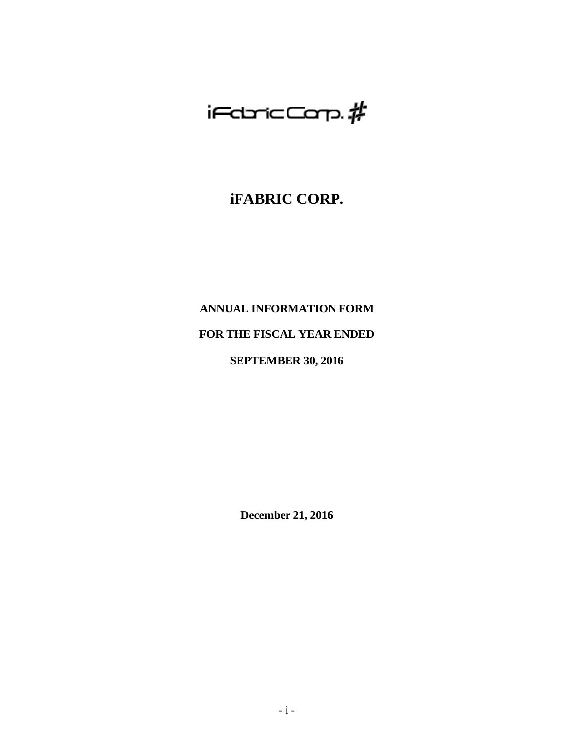# $i$ FdricCarp. $\rlap{/}$ #

## **iFABRIC CORP.**

## **ANNUAL INFORMATION FORM**

## **FOR THE FISCAL YEAR ENDED**

## **SEPTEMBER 30, 2016**

**December 21, 2016**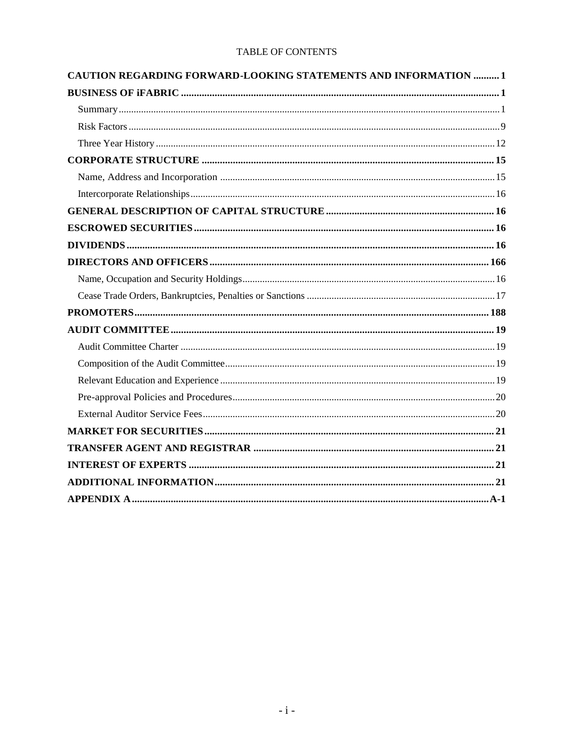## TABLE OF CONTENTS

| CAUTION REGARDING FORWARD-LOOKING STATEMENTS AND INFORMATION  1 |  |
|-----------------------------------------------------------------|--|
|                                                                 |  |
|                                                                 |  |
|                                                                 |  |
|                                                                 |  |
|                                                                 |  |
|                                                                 |  |
|                                                                 |  |
|                                                                 |  |
|                                                                 |  |
|                                                                 |  |
|                                                                 |  |
|                                                                 |  |
|                                                                 |  |
|                                                                 |  |
|                                                                 |  |
|                                                                 |  |
|                                                                 |  |
|                                                                 |  |
|                                                                 |  |
|                                                                 |  |
|                                                                 |  |
|                                                                 |  |
|                                                                 |  |
|                                                                 |  |
|                                                                 |  |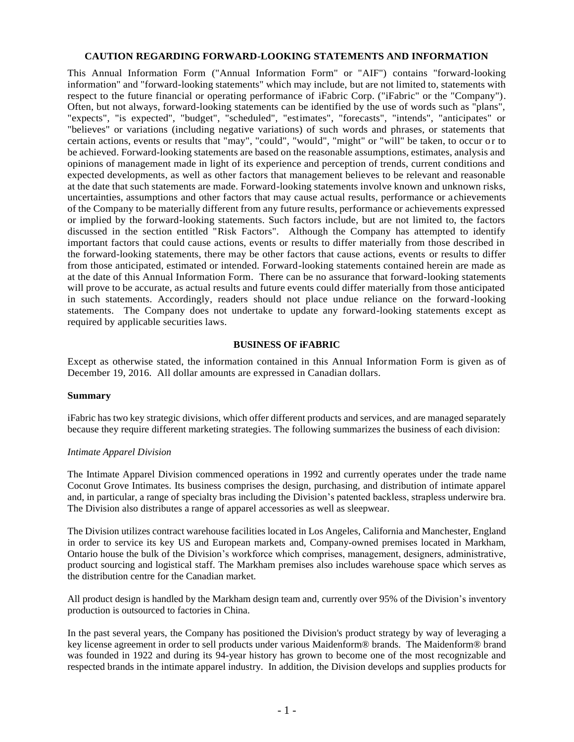#### <span id="page-2-0"></span>**CAUTION REGARDING FORWARD-LOOKING STATEMENTS AND INFORMATION**

This Annual Information Form ("Annual Information Form" or "AIF") contains "forward-looking information" and "forward-looking statements" which may include, but are not limited to, statements with respect to the future financial or operating performance of iFabric Corp. ("iFabric" or the "Company"). Often, but not always, forward-looking statements can be identified by the use of words such as "plans", "expects", "is expected", "budget", "scheduled", "estimates", "forecasts", "intends", "anticipates" or "believes" or variations (including negative variations) of such words and phrases, or statements that certain actions, events or results that "may", "could", "would", "might" or "will" be taken, to occur or to be achieved. Forward-looking statements are based on the reasonable assumptions, estimates, analysis and opinions of management made in light of its experience and perception of trends, current conditions and expected developments, as well as other factors that management believes to be relevant and reasonable at the date that such statements are made. Forward-looking statements involve known and unknown risks, uncertainties, assumptions and other factors that may cause actual results, performance or a chievements of the Company to be materially different from any future results, performance or achievements expressed or implied by the forward-looking statements. Such factors include, but are not limited to, the factors discussed in the section entitled "Risk Factors". Although the Company has attempted to identify important factors that could cause actions, events or results to differ materially from those described in the forward-looking statements, there may be other factors that cause actions, events or results to differ from those anticipated, estimated or intended. Forward-looking statements contained herein are made as at the date of this Annual Information Form. There can be no assurance that forward-looking statements will prove to be accurate, as actual results and future events could differ materially from those anticipated in such statements. Accordingly, readers should not place undue reliance on the forward-looking statements. The Company does not undertake to update any forward-looking statements except as required by applicable securities laws.

#### **BUSINESS OF iFABRIC**

<span id="page-2-1"></span>Except as otherwise stated, the information contained in this Annual Information Form is given as of December 19, 2016. All dollar amounts are expressed in Canadian dollars.

#### <span id="page-2-2"></span>**Summary**

iFabric has two key strategic divisions, which offer different products and services, and are managed separately because they require different marketing strategies. The following summarizes the business of each division:

#### *Intimate Apparel Division*

The Intimate Apparel Division commenced operations in 1992 and currently operates under the trade name Coconut Grove Intimates. Its business comprises the design, purchasing, and distribution of intimate apparel and, in particular, a range of specialty bras including the Division's patented backless, strapless underwire bra. The Division also distributes a range of apparel accessories as well as sleepwear.

The Division utilizes contract warehouse facilities located in Los Angeles, California and Manchester, England in order to service its key US and European markets and, Company-owned premises located in Markham, Ontario house the bulk of the Division's workforce which comprises, management, designers, administrative, product sourcing and logistical staff. The Markham premises also includes warehouse space which serves as the distribution centre for the Canadian market.

All product design is handled by the Markham design team and, currently over 95% of the Division's inventory production is outsourced to factories in China.

In the past several years, the Company has positioned the Division's product strategy by way of leveraging a key license agreement in order to sell products under various Maidenform® brands. The Maidenform® brand was founded in 1922 and during its 94-year history has grown to become one of the most recognizable and respected brands in the intimate apparel industry. In addition, the Division develops and supplies products for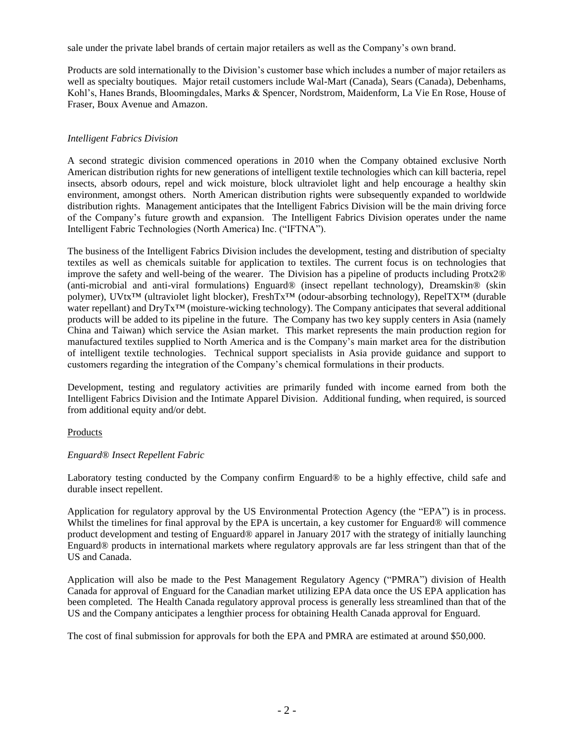sale under the private label brands of certain major retailers as well as the Company's own brand.

Products are sold internationally to the Division's customer base which includes a number of major retailers as well as specialty boutiques. Major retail customers include Wal-Mart (Canada), Sears (Canada), Debenhams, Kohl's, Hanes Brands, Bloomingdales, Marks & Spencer, Nordstrom, Maidenform, La Vie En Rose, House of Fraser, Boux Avenue and Amazon.

#### *Intelligent Fabrics Division*

A second strategic division commenced operations in 2010 when the Company obtained exclusive North American distribution rights for new generations of intelligent textile technologies which can kill bacteria, repel insects, absorb odours, repel and wick moisture, block ultraviolet light and help encourage a healthy skin environment, amongst others. North American distribution rights were subsequently expanded to worldwide distribution rights. Management anticipates that the Intelligent Fabrics Division will be the main driving force of the Company's future growth and expansion. The Intelligent Fabrics Division operates under the name Intelligent Fabric Technologies (North America) Inc. ("IFTNA").

The business of the Intelligent Fabrics Division includes the development, testing and distribution of specialty textiles as well as chemicals suitable for application to textiles. The current focus is on technologies that improve the safety and well-being of the wearer. The Division has a pipeline of products including Protx2® (anti-microbial and anti-viral formulations) Enguard® (insect repellant technology), Dreamskin® (skin polymer), UVtx™ (ultraviolet light blocker), FreshTx™ (odour-absorbing technology), RepelTX™ (durable water repellant) and DryTx™ (moisture-wicking technology). The Company anticipates that several additional products will be added to its pipeline in the future. The Company has two key supply centers in Asia (namely China and Taiwan) which service the Asian market. This market represents the main production region for manufactured textiles supplied to North America and is the Company's main market area for the distribution of intelligent textile technologies. Technical support specialists in Asia provide guidance and support to customers regarding the integration of the Company's chemical formulations in their products.

Development, testing and regulatory activities are primarily funded with income earned from both the Intelligent Fabrics Division and the Intimate Apparel Division. Additional funding, when required, is sourced from additional equity and/or debt.

#### Products

#### *Enguard® Insect Repellent Fabric*

Laboratory testing conducted by the Company confirm Enguard*®* to be a highly effective, child safe and durable insect repellent.

Application for regulatory approval by the US Environmental Protection Agency (the "EPA") is in process. Whilst the timelines for final approval by the EPA is uncertain, a key customer for Enguard<sup>®</sup> will commence product development and testing of Enguard® apparel in January 2017 with the strategy of initially launching Enguard® products in international markets where regulatory approvals are far less stringent than that of the US and Canada.

Application will also be made to the Pest Management Regulatory Agency ("PMRA") division of Health Canada for approval of Enguard for the Canadian market utilizing EPA data once the US EPA application has been completed. The Health Canada regulatory approval process is generally less streamlined than that of the US and the Company anticipates a lengthier process for obtaining Health Canada approval for Enguard.

The cost of final submission for approvals for both the EPA and PMRA are estimated at around \$50,000.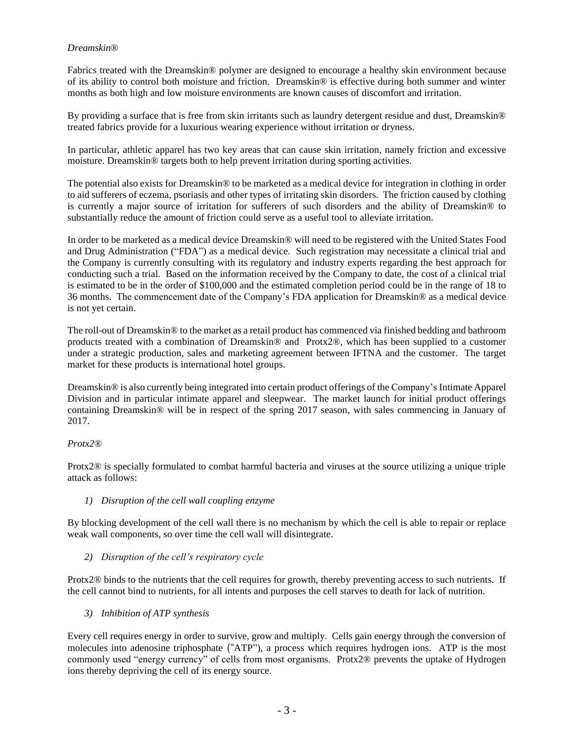#### *Dreamskin®*

Fabrics treated with the Dreamskin® polymer are designed to encourage a healthy skin environment because of its ability to control both moisture and friction. Dreamskin® is effective during both summer and winter months as both high and low moisture environments are known causes of discomfort and irritation.

By providing a surface that is free from skin irritants such as laundry detergent residue and dust, Dreamskin® treated fabrics provide for a luxurious wearing experience without irritation or dryness.

In particular, athletic apparel has two key areas that can cause skin irritation, namely friction and excessive moisture. Dreamskin® targets both to help prevent irritation during sporting activities.

The potential also exists for Dreamskin® to be marketed as a medical device for integration in clothing in order to aid sufferers of eczema, psoriasis and other types of irritating skin disorders. The friction caused by clothing is currently a major source of irritation for sufferers of such disorders and the ability of Dreamskin® to substantially reduce the amount of friction could serve as a useful tool to alleviate irritation.

In order to be marketed as a medical device Dreamskin® will need to be registered with the United States Food and Drug Administration ("FDA") as a medical device. Such registration may necessitate a clinical trial and the Company is currently consulting with its regulatory and industry experts regarding the best approach for conducting such a trial. Based on the information received by the Company to date, the cost of a clinical trial is estimated to be in the order of \$100,000 and the estimated completion period could be in the range of 18 to 36 months. The commencement date of the Company's FDA application for Dreamskin® as a medical device is not yet certain.

The roll-out of Dreamskin® to the market as a retail product has commenced via finished bedding and bathroom products treated with a combination of Dreamskin® and Protx2®, which has been supplied to a customer under a strategic production, sales and marketing agreement between IFTNA and the customer. The target market for these products is international hotel groups.

Dreamskin® is also currently being integrated into certain product offerings of the Company's Intimate Apparel Division and in particular intimate apparel and sleepwear. The market launch for initial product offerings containing Dreamskin® will be in respect of the spring 2017 season, with sales commencing in January of 2017.

#### *Protx2®*

Protx2® is specially formulated to combat harmful bacteria and viruses at the source utilizing a unique triple attack as follows:

#### *1) Disruption of the cell wall coupling enzyme*

By blocking development of the cell wall there is no mechanism by which the cell is able to repair or replace weak wall components, so over time the cell wall will disintegrate.

*2) Disruption of the cell's respiratory cycle*

Protx2® binds to the nutrients that the cell requires for growth, thereby preventing access to such nutrients. If the cell cannot bind to nutrients, for all intents and purposes the cell starves to death for lack of nutrition.

*3) Inhibition of ATP synthesis*

Every cell requires energy in order to survive, grow and multiply. Cells gain energy through the conversion of molecules into adenosine triphosphate ("ATP"), a process which requires hydrogen ions. ATP is the most commonly used "energy currency" of cells from most organisms. Protx2® prevents the uptake of Hydrogen ions thereby depriving the cell of its energy source.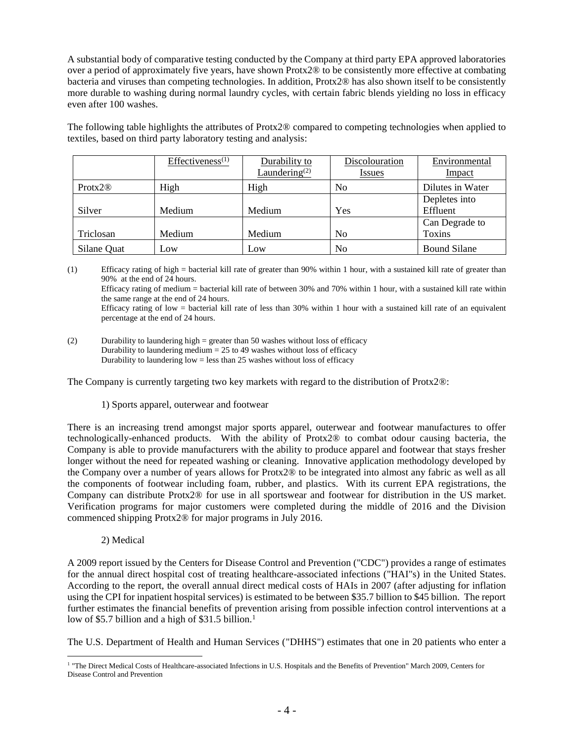A substantial body of comparative testing conducted by the Company at third party EPA approved laboratories over a period of approximately five years, have shown Protx2® to be consistently more effective at combating bacteria and viruses than competing technologies. In addition, Protx2® has also shown itself to be consistently more durable to washing during normal laundry cycles, with certain fabric blends yielding no loss in efficacy even after 100 washes.

The following table highlights the attributes of Protx2® compared to competing technologies when applied to textiles, based on third party laboratory testing and analysis:

|                     | $E$ ffectiveness <sup>(1)</sup> | Durability to             | Discolouration | Environmental       |
|---------------------|---------------------------------|---------------------------|----------------|---------------------|
|                     |                                 | Laundering <sup>(2)</sup> | <u>Issues</u>  | Impact              |
| Protx2 <sup>®</sup> | High                            | High                      | No             | Dilutes in Water    |
|                     |                                 |                           |                | Depletes into       |
| Silver              | Medium                          | Medium                    | Yes            | Effluent            |
|                     |                                 |                           |                | Can Degrade to      |
| Triclosan           | Medium                          | Medium                    | No             | <b>Toxins</b>       |
| Silane Quat         | Low                             | Low                       | No             | <b>Bound Silane</b> |

(1) Efficacy rating of high = bacterial kill rate of greater than 90% within 1 hour, with a sustained kill rate of greater than 90% at the end of 24 hours. Efficacy rating of medium = bacterial kill rate of between 30% and 70% within 1 hour, with a sustained kill rate within the same range at the end of 24 hours. Efficacy rating of low = bacterial kill rate of less than 30% within 1 hour with a sustained kill rate of an equivalent percentage at the end of 24 hours.

(2) Durability to laundering high = greater than 50 washes without loss of efficacy Durability to laundering medium  $= 25$  to 49 washes without loss of efficacy Durability to laundering  $low =$  less than 25 washes without loss of efficacy

The Company is currently targeting two key markets with regard to the distribution of Protx2®:

#### 1) Sports apparel, outerwear and footwear

There is an increasing trend amongst major sports apparel, outerwear and footwear manufactures to offer technologically-enhanced products. With the ability of Protx2® to combat odour causing bacteria, the Company is able to provide manufacturers with the ability to produce apparel and footwear that stays fresher longer without the need for repeated washing or cleaning. Innovative application methodology developed by the Company over a number of years allows for Protx2® to be integrated into almost any fabric as well as all the components of footwear including foam, rubber, and plastics. With its current EPA registrations, the Company can distribute Protx2® for use in all sportswear and footwear for distribution in the US market. Verification programs for major customers were completed during the middle of 2016 and the Division commenced shipping Protx2® for major programs in July 2016.

2) Medical

A 2009 report issued by the Centers for Disease Control and Prevention ("CDC") provides a range of estimates for the annual direct hospital cost of treating healthcare-associated infections ("HAI"s) in the United States. According to the report, the overall annual direct medical costs of HAIs in 2007 (after adjusting for inflation using the CPI for inpatient hospital services) is estimated to be between \$35.7 billion to \$45 billion. The report further estimates the financial benefits of prevention arising from possible infection control interventions at a low of \$5.7 billion and a high of \$31.5 billion.<sup>1</sup>

The U.S. Department of Health and Human Services ("DHHS") estimates that one in 20 patients who enter a

 $\overline{a}$ <sup>1</sup> "The Direct Medical Costs of Healthcare-associated Infections in U.S. Hospitals and the Benefits of Prevention" March 2009, Centers for Disease Control and Prevention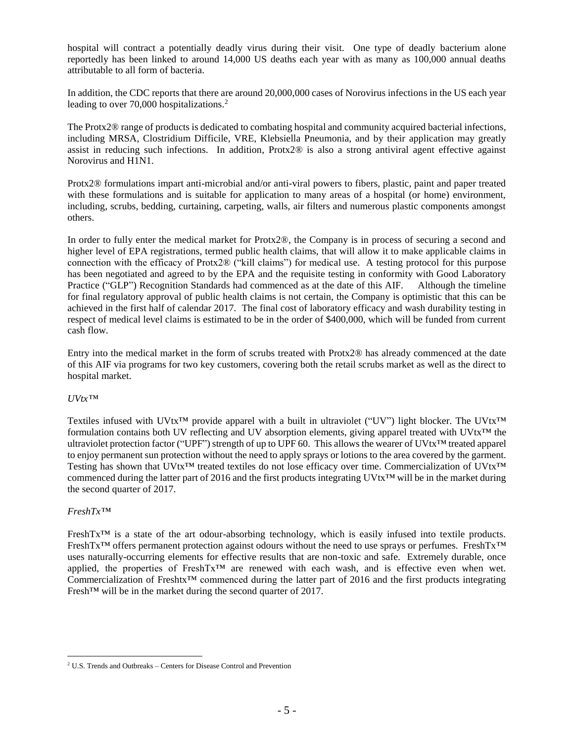hospital will contract a potentially deadly virus during their visit. One type of deadly bacterium alone reportedly has been linked to around 14,000 US deaths each year with as many as 100,000 annual deaths attributable to all form of bacteria.

In addition, the CDC reports that there are around 20,000,000 cases of Norovirus infections in the US each year leading to over 70,000 hospitalizations.<sup>2</sup>

The Protx2® range of products is dedicated to combating hospital and community acquired bacterial infections, including MRSA, Clostridium Difficile, VRE, Klebsiella Pneumonia, and by their application may greatly assist in reducing such infections. In addition, Protx2® is also a strong antiviral agent effective against Norovirus and H1N1.

Protx2® formulations impart anti-microbial and/or anti-viral powers to fibers, plastic, paint and paper treated with these formulations and is suitable for application to many areas of a hospital (or home) environment, including, scrubs, bedding, curtaining, carpeting, walls, air filters and numerous plastic components amongst others.

In order to fully enter the medical market for Protx2®, the Company is in process of securing a second and higher level of EPA registrations, termed public health claims, that will allow it to make applicable claims in connection with the efficacy of Protx2® ("kill claims") for medical use. A testing protocol for this purpose has been negotiated and agreed to by the EPA and the requisite testing in conformity with Good Laboratory Practice ("GLP") Recognition Standards had commenced as at the date of this AIF. Although the timeline for final regulatory approval of public health claims is not certain, the Company is optimistic that this can be achieved in the first half of calendar 2017. The final cost of laboratory efficacy and wash durability testing in respect of medical level claims is estimated to be in the order of \$400,000, which will be funded from current cash flow.

Entry into the medical market in the form of scrubs treated with Protx2® has already commenced at the date of this AIF via programs for two key customers, covering both the retail scrubs market as well as the direct to hospital market.

#### *UVtx™*

Textiles infused with UVtx<sup>™</sup> provide apparel with a built in ultraviolet ("UV") light blocker. The UVtx<sup>™</sup> formulation contains both UV reflecting and UV absorption elements, giving apparel treated with UVtx<sup>™</sup> the ultraviolet protection factor ("UPF") strength of up to UPF 60. This allows the wearer of UVtx™ treated apparel to enjoy permanent sun protection without the need to apply sprays or lotions to the area covered by the garment. Testing has shown that UVtx<sup>™</sup> treated textiles do not lose efficacy over time. Commercialization of UVtx<sup>™</sup> commenced during the latter part of 2016 and the first products integrating UVtx™ will be in the market during the second quarter of 2017.

#### *FreshTx™*

 $\overline{a}$ 

FreshTx™ is a state of the art odour-absorbing technology, which is easily infused into textile products. FreshTx™ offers permanent protection against odours without the need to use sprays or perfumes. FreshTx™ uses naturally-occurring elements for effective results that are non-toxic and safe. Extremely durable, once applied, the properties of FreshTx<sup>TM</sup> are renewed with each wash, and is effective even when wet. Commercialization of Freshtx<sup>™</sup> commenced during the latter part of 2016 and the first products integrating Fresh™ will be in the market during the second quarter of 2017.

<sup>2</sup> U.S. Trends and Outbreaks – Centers for Disease Control and Prevention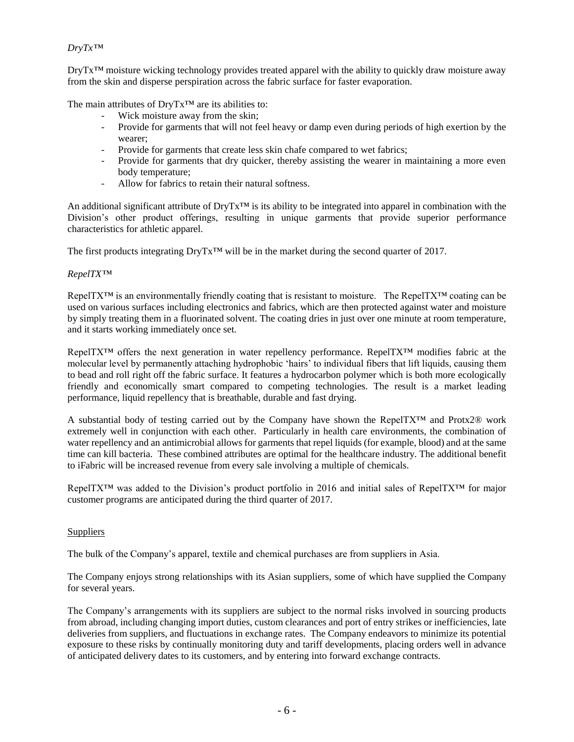#### *DryTx™*

DryTx™ moisture wicking technology provides treated apparel with the ability to quickly draw moisture away from the skin and disperse perspiration across the fabric surface for faster evaporation.

The main attributes of DryTx™ are its abilities to:

- Wick moisture away from the skin;
- Provide for garments that will not feel heavy or damp even during periods of high exertion by the wearer;
- Provide for garments that create less skin chafe compared to wet fabrics;
- Provide for garments that dry quicker, thereby assisting the wearer in maintaining a more even body temperature;
- Allow for fabrics to retain their natural softness.

An additional significant attribute of DryTx<sup>™</sup> is its ability to be integrated into apparel in combination with the Division's other product offerings, resulting in unique garments that provide superior performance characteristics for athletic apparel.

The first products integrating DryTx™ will be in the market during the second quarter of 2017.

#### *RepelTX™*

RepelTX™ is an environmentally friendly coating that is resistant to moisture. The RepelTX™ coating can be used on various surfaces including electronics and fabrics, which are then protected against water and moisture by simply treating them in a fluorinated solvent. The coating dries in just over one minute at room temperature, and it starts working immediately once set.

RepelTX<sup>™</sup> offers the next generation in water repellency performance. RepelTX<sup>™</sup> modifies fabric at the molecular level by permanently attaching hydrophobic 'hairs' to individual fibers that lift liquids, causing them to bead and roll right off the fabric surface. It features a hydrocarbon polymer which is both more ecologically friendly and economically smart compared to competing technologies. The result is a market leading performance, liquid repellency that is breathable, durable and fast drying.

A substantial body of testing carried out by the Company have shown the RepelTX™ and Protx2® work extremely well in conjunction with each other. Particularly in health care environments, the combination of water repellency and an antimicrobial allows for garments that repel liquids (for example, blood) and at the same time can kill bacteria. These combined attributes are optimal for the healthcare industry. The additional benefit to iFabric will be increased revenue from every sale involving a multiple of chemicals.

RepelTX™ was added to the Division's product portfolio in 2016 and initial sales of RepelTX™ for major customer programs are anticipated during the third quarter of 2017.

#### **Suppliers**

The bulk of the Company's apparel, textile and chemical purchases are from suppliers in Asia.

The Company enjoys strong relationships with its Asian suppliers, some of which have supplied the Company for several years.

The Company's arrangements with its suppliers are subject to the normal risks involved in sourcing products from abroad, including changing import duties, custom clearances and port of entry strikes or inefficiencies, late deliveries from suppliers, and fluctuations in exchange rates. The Company endeavors to minimize its potential exposure to these risks by continually monitoring duty and tariff developments, placing orders well in advance of anticipated delivery dates to its customers, and by entering into forward exchange contracts.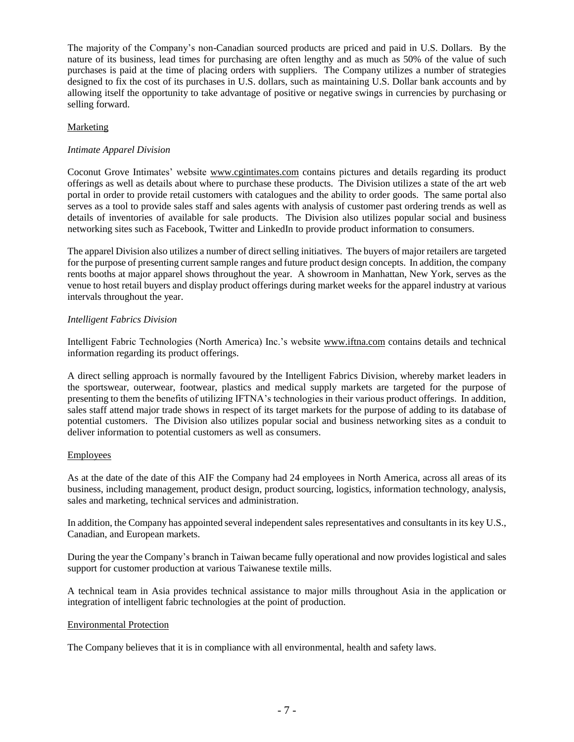The majority of the Company's non-Canadian sourced products are priced and paid in U.S. Dollars. By the nature of its business, lead times for purchasing are often lengthy and as much as 50% of the value of such purchases is paid at the time of placing orders with suppliers. The Company utilizes a number of strategies designed to fix the cost of its purchases in U.S. dollars, such as maintaining U.S. Dollar bank accounts and by allowing itself the opportunity to take advantage of positive or negative swings in currencies by purchasing or selling forward.

#### Marketing

#### *Intimate Apparel Division*

Coconut Grove Intimates' website [www.cgintimates.com](http://cgintimates.com/) contains pictures and details regarding its product offerings as well as details about where to purchase these products. The Division utilizes a state of the art web portal in order to provide retail customers with catalogues and the ability to order goods. The same portal also serves as a tool to provide sales staff and sales agents with analysis of customer past ordering trends as well as details of inventories of available for sale products. The Division also utilizes popular social and business networking sites such as Facebook, Twitter and LinkedIn to provide product information to consumers.

The apparel Division also utilizes a number of direct selling initiatives. The buyers of major retailers are targeted for the purpose of presenting current sample ranges and future product design concepts. In addition, the company rents booths at major apparel shows throughout the year. A showroom in Manhattan, New York, serves as the venue to host retail buyers and display product offerings during market weeks for the apparel industry at various intervals throughout the year.

#### *Intelligent Fabrics Division*

Intelligent Fabric Technologies (North America) Inc.'s website [www.iftna.com](http://iftna.com/) contains details and technical information regarding its product offerings.

A direct selling approach is normally favoured by the Intelligent Fabrics Division, whereby market leaders in the sportswear, outerwear, footwear, plastics and medical supply markets are targeted for the purpose of presenting to them the benefits of utilizing IFTNA's technologies in their various product offerings. In addition, sales staff attend major trade shows in respect of its target markets for the purpose of adding to its database of potential customers. The Division also utilizes popular social and business networking sites as a conduit to deliver information to potential customers as well as consumers.

#### Employees

As at the date of the date of this AIF the Company had 24 employees in North America, across all areas of its business, including management, product design, product sourcing, logistics, information technology, analysis, sales and marketing, technical services and administration.

In addition, the Company has appointed several independent sales representatives and consultants in its key U.S., Canadian, and European markets.

During the year the Company's branch in Taiwan became fully operational and now provides logistical and sales support for customer production at various Taiwanese textile mills.

A technical team in Asia provides technical assistance to major mills throughout Asia in the application or integration of intelligent fabric technologies at the point of production.

#### Environmental Protection

The Company believes that it is in compliance with all environmental, health and safety laws.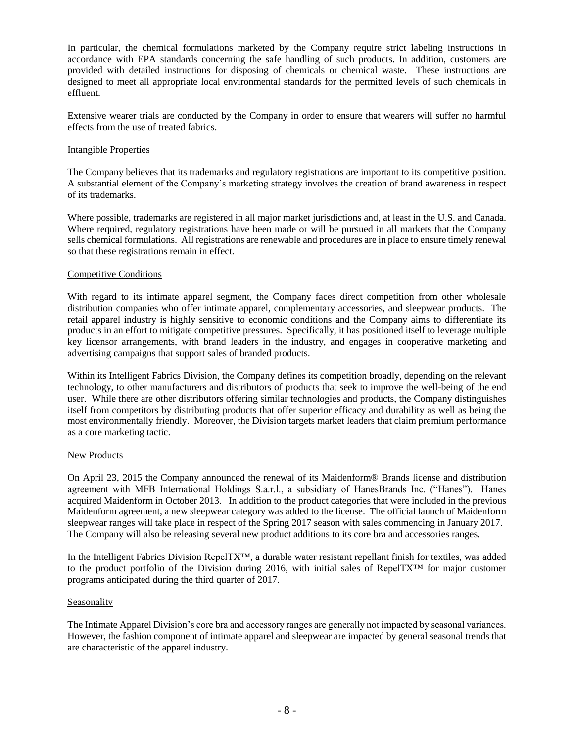In particular, the chemical formulations marketed by the Company require strict labeling instructions in accordance with EPA standards concerning the safe handling of such products. In addition, customers are provided with detailed instructions for disposing of chemicals or chemical waste. These instructions are designed to meet all appropriate local environmental standards for the permitted levels of such chemicals in effluent.

Extensive wearer trials are conducted by the Company in order to ensure that wearers will suffer no harmful effects from the use of treated fabrics.

#### Intangible Properties

The Company believes that its trademarks and regulatory registrations are important to its competitive position. A substantial element of the Company's marketing strategy involves the creation of brand awareness in respect of its trademarks.

Where possible, trademarks are registered in all major market jurisdictions and, at least in the U.S. and Canada. Where required, regulatory registrations have been made or will be pursued in all markets that the Company sells chemical formulations. All registrations are renewable and procedures are in place to ensure timely renewal so that these registrations remain in effect.

#### Competitive Conditions

With regard to its intimate apparel segment, the Company faces direct competition from other wholesale distribution companies who offer intimate apparel, complementary accessories, and sleepwear products. The retail apparel industry is highly sensitive to economic conditions and the Company aims to differentiate its products in an effort to mitigate competitive pressures. Specifically, it has positioned itself to leverage multiple key licensor arrangements, with brand leaders in the industry, and engages in cooperative marketing and advertising campaigns that support sales of branded products.

Within its Intelligent Fabrics Division, the Company defines its competition broadly, depending on the relevant technology, to other manufacturers and distributors of products that seek to improve the well-being of the end user. While there are other distributors offering similar technologies and products, the Company distinguishes itself from competitors by distributing products that offer superior efficacy and durability as well as being the most environmentally friendly. Moreover, the Division targets market leaders that claim premium performance as a core marketing tactic.

#### New Products

On April 23, 2015 the Company announced the renewal of its Maidenform® Brands license and distribution agreement with MFB International Holdings S.a.r.l., a subsidiary of HanesBrands Inc. ("Hanes"). Hanes acquired Maidenform in October 2013. In addition to the product categories that were included in the previous Maidenform agreement, a new sleepwear category was added to the license. The official launch of Maidenform sleepwear ranges will take place in respect of the Spring 2017 season with sales commencing in January 2017. The Company will also be releasing several new product additions to its core bra and accessories ranges.

In the Intelligent Fabrics Division RepelTX™, a durable water resistant repellant finish for textiles, was added to the product portfolio of the Division during 2016, with initial sales of RepelTX™ for major customer programs anticipated during the third quarter of 2017.

#### Seasonality

The Intimate Apparel Division's core bra and accessory ranges are generally not impacted by seasonal variances. However, the fashion component of intimate apparel and sleepwear are impacted by general seasonal trends that are characteristic of the apparel industry.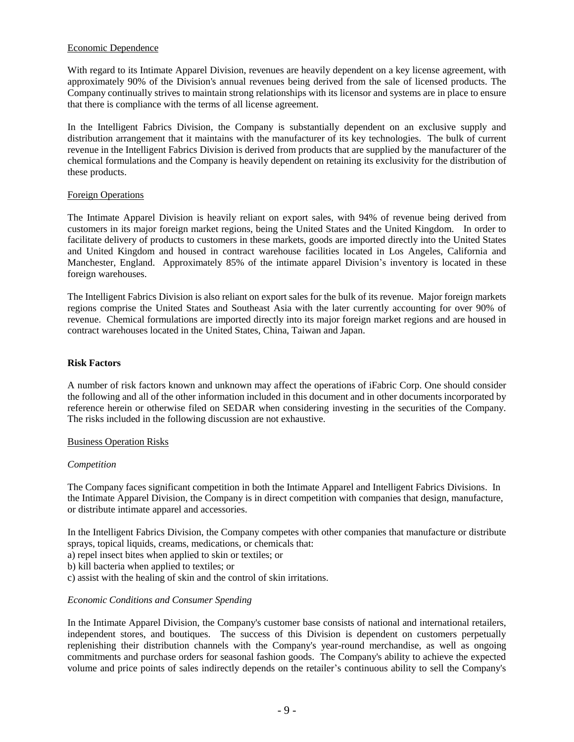#### Economic Dependence

With regard to its Intimate Apparel Division, revenues are heavily dependent on a key license agreement, with approximately 90% of the Division's annual revenues being derived from the sale of licensed products. The Company continually strives to maintain strong relationships with its licensor and systems are in place to ensure that there is compliance with the terms of all license agreement.

In the Intelligent Fabrics Division, the Company is substantially dependent on an exclusive supply and distribution arrangement that it maintains with the manufacturer of its key technologies. The bulk of current revenue in the Intelligent Fabrics Division is derived from products that are supplied by the manufacturer of the chemical formulations and the Company is heavily dependent on retaining its exclusivity for the distribution of these products.

#### Foreign Operations

The Intimate Apparel Division is heavily reliant on export sales, with 94% of revenue being derived from customers in its major foreign market regions, being the United States and the United Kingdom. In order to facilitate delivery of products to customers in these markets, goods are imported directly into the United States and United Kingdom and housed in contract warehouse facilities located in Los Angeles, California and Manchester, England. Approximately 85% of the intimate apparel Division's inventory is located in these foreign warehouses.

The Intelligent Fabrics Division is also reliant on export sales for the bulk of its revenue. Major foreign markets regions comprise the United States and Southeast Asia with the later currently accounting for over 90% of revenue. Chemical formulations are imported directly into its major foreign market regions and are housed in contract warehouses located in the United States, China, Taiwan and Japan.

#### <span id="page-10-0"></span>**Risk Factors**

A number of risk factors known and unknown may affect the operations of iFabric Corp. One should consider the following and all of the other information included in this document and in other documents incorporated by reference herein or otherwise filed on SEDAR when considering investing in the securities of the Company. The risks included in the following discussion are not exhaustive.

#### Business Operation Risks

#### *Competition*

The Company faces significant competition in both the Intimate Apparel and Intelligent Fabrics Divisions. In the Intimate Apparel Division, the Company is in direct competition with companies that design, manufacture, or distribute intimate apparel and accessories.

In the Intelligent Fabrics Division, the Company competes with other companies that manufacture or distribute sprays, topical liquids, creams, medications, or chemicals that:

- a) repel insect bites when applied to skin or textiles; or
- b) kill bacteria when applied to textiles; or
- c) assist with the healing of skin and the control of skin irritations.

#### *Economic Conditions and Consumer Spending*

In the Intimate Apparel Division, the Company's customer base consists of national and international retailers, independent stores, and boutiques. The success of this Division is dependent on customers perpetually replenishing their distribution channels with the Company's year-round merchandise, as well as ongoing commitments and purchase orders for seasonal fashion goods. The Company's ability to achieve the expected volume and price points of sales indirectly depends on the retailer's continuous ability to sell the Company's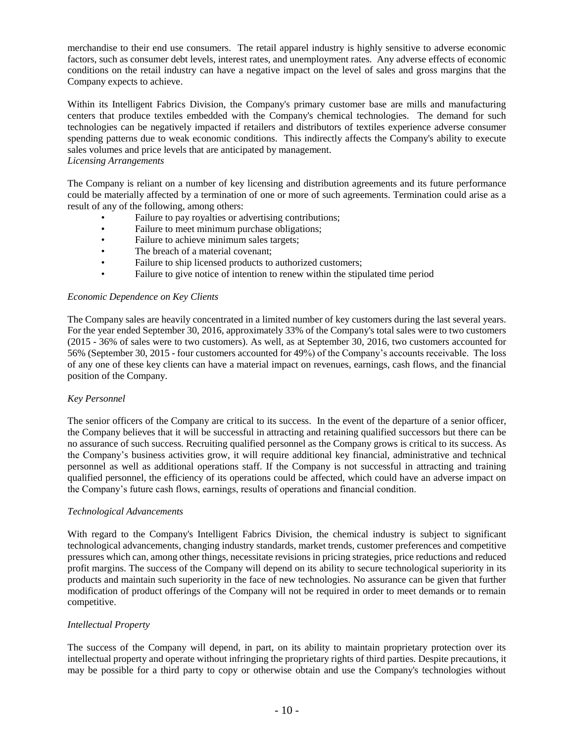merchandise to their end use consumers. The retail apparel industry is highly sensitive to adverse economic factors, such as consumer debt levels, interest rates, and unemployment rates. Any adverse effects of economic conditions on the retail industry can have a negative impact on the level of sales and gross margins that the Company expects to achieve.

Within its Intelligent Fabrics Division, the Company's primary customer base are mills and manufacturing centers that produce textiles embedded with the Company's chemical technologies. The demand for such technologies can be negatively impacted if retailers and distributors of textiles experience adverse consumer spending patterns due to weak economic conditions. This indirectly affects the Company's ability to execute sales volumes and price levels that are anticipated by management. *Licensing Arrangements*

The Company is reliant on a number of key licensing and distribution agreements and its future performance could be materially affected by a termination of one or more of such agreements. Termination could arise as a result of any of the following, among others:

- Failure to pay royalties or advertising contributions;
- Failure to meet minimum purchase obligations;
- Failure to achieve minimum sales targets;
- The breach of a material covenant;
- Failure to ship licensed products to authorized customers;
- Failure to give notice of intention to renew within the stipulated time period

#### *Economic Dependence on Key Clients*

The Company sales are heavily concentrated in a limited number of key customers during the last several years. For the year ended September 30, 2016, approximately 33% of the Company's total sales were to two customers (2015 - 36% of sales were to two customers). As well, as at September 30, 2016, two customers accounted for 56% (September 30, 2015 - four customers accounted for 49%) of the Company's accounts receivable. The loss of any one of these key clients can have a material impact on revenues, earnings, cash flows, and the financial position of the Company.

#### *Key Personnel*

The senior officers of the Company are critical to its success. In the event of the departure of a senior officer, the Company believes that it will be successful in attracting and retaining qualified successors but there can be no assurance of such success. Recruiting qualified personnel as the Company grows is critical to its success. As the Company's business activities grow, it will require additional key financial, administrative and technical personnel as well as additional operations staff. If the Company is not successful in attracting and training qualified personnel, the efficiency of its operations could be affected, which could have an adverse impact on the Company's future cash flows, earnings, results of operations and financial condition.

#### *Technological Advancements*

With regard to the Company's Intelligent Fabrics Division, the chemical industry is subject to significant technological advancements, changing industry standards, market trends, customer preferences and competitive pressures which can, among other things, necessitate revisions in pricing strategies, price reductions and reduced profit margins. The success of the Company will depend on its ability to secure technological superiority in its products and maintain such superiority in the face of new technologies. No assurance can be given that further modification of product offerings of the Company will not be required in order to meet demands or to remain competitive.

#### *Intellectual Property*

The success of the Company will depend, in part, on its ability to maintain proprietary protection over its intellectual property and operate without infringing the proprietary rights of third parties. Despite precautions, it may be possible for a third party to copy or otherwise obtain and use the Company's technologies without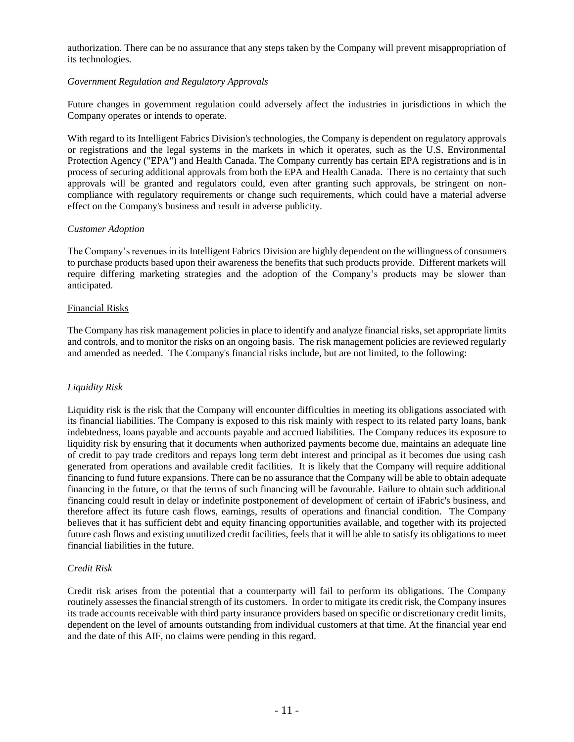authorization. There can be no assurance that any steps taken by the Company will prevent misappropriation of its technologies.

#### *Government Regulation and Regulatory Approvals*

Future changes in government regulation could adversely affect the industries in jurisdictions in which the Company operates or intends to operate.

With regard to its Intelligent Fabrics Division's technologies, the Company is dependent on regulatory approvals or registrations and the legal systems in the markets in which it operates, such as the U.S. Environmental Protection Agency ("EPA") and Health Canada. The Company currently has certain EPA registrations and is in process of securing additional approvals from both the EPA and Health Canada. There is no certainty that such approvals will be granted and regulators could, even after granting such approvals, be stringent on noncompliance with regulatory requirements or change such requirements, which could have a material adverse effect on the Company's business and result in adverse publicity.

#### *Customer Adoption*

The Company's revenues in its Intelligent Fabrics Division are highly dependent on the willingness of consumers to purchase products based upon their awareness the benefits that such products provide. Different markets will require differing marketing strategies and the adoption of the Company's products may be slower than anticipated.

#### Financial Risks

The Company has risk management policies in place to identify and analyze financial risks, set appropriate limits and controls, and to monitor the risks on an ongoing basis. The risk management policies are reviewed regularly and amended as needed. The Company's financial risks include, but are not limited, to the following:

#### *Liquidity Risk*

Liquidity risk is the risk that the Company will encounter difficulties in meeting its obligations associated with its financial liabilities. The Company is exposed to this risk mainly with respect to its related party loans, bank indebtedness, loans payable and accounts payable and accrued liabilities. The Company reduces its exposure to liquidity risk by ensuring that it documents when authorized payments become due, maintains an adequate line of credit to pay trade creditors and repays long term debt interest and principal as it becomes due using cash generated from operations and available credit facilities. It is likely that the Company will require additional financing to fund future expansions. There can be no assurance that the Company will be able to obtain adequate financing in the future, or that the terms of such financing will be favourable. Failure to obtain such additional financing could result in delay or indefinite postponement of development of certain of iFabric's business, and therefore affect its future cash flows, earnings, results of operations and financial condition. The Company believes that it has sufficient debt and equity financing opportunities available, and together with its projected future cash flows and existing unutilized credit facilities, feels that it will be able to satisfy its obligations to meet financial liabilities in the future.

#### *Credit Risk*

Credit risk arises from the potential that a counterparty will fail to perform its obligations. The Company routinely assesses the financial strength of its customers. In order to mitigate its credit risk, the Company insures its trade accounts receivable with third party insurance providers based on specific or discretionary credit limits, dependent on the level of amounts outstanding from individual customers at that time. At the financial year end and the date of this AIF, no claims were pending in this regard.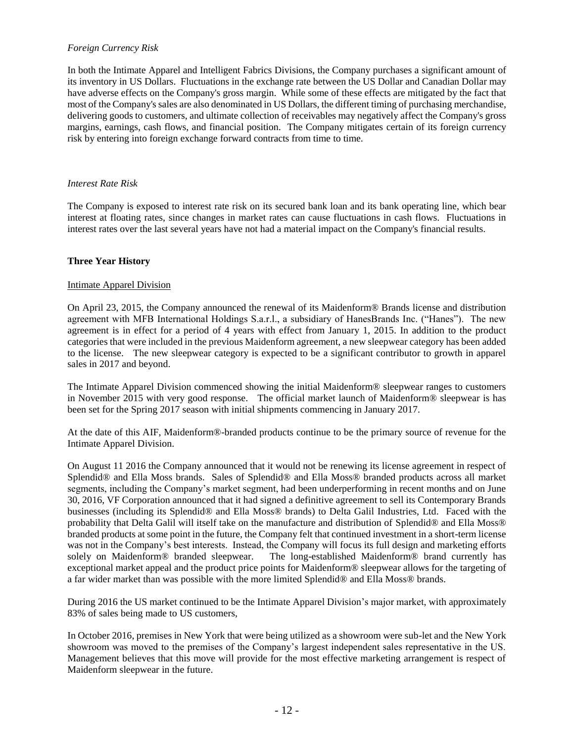#### *Foreign Currency Risk*

In both the Intimate Apparel and Intelligent Fabrics Divisions, the Company purchases a significant amount of its inventory in US Dollars. Fluctuations in the exchange rate between the US Dollar and Canadian Dollar may have adverse effects on the Company's gross margin. While some of these effects are mitigated by the fact that most of the Company's sales are also denominated in US Dollars, the different timing of purchasing merchandise, delivering goods to customers, and ultimate collection of receivables may negatively affect the Company's gross margins, earnings, cash flows, and financial position. The Company mitigates certain of its foreign currency risk by entering into foreign exchange forward contracts from time to time.

#### *Interest Rate Risk*

The Company is exposed to interest rate risk on its secured bank loan and its bank operating line, which bear interest at floating rates, since changes in market rates can cause fluctuations in cash flows. Fluctuations in interest rates over the last several years have not had a material impact on the Company's financial results.

#### <span id="page-13-0"></span>**Three Year History**

#### Intimate Apparel Division

On April 23, 2015, the Company announced the renewal of its Maidenform® Brands license and distribution agreement with MFB International Holdings S.a.r.l., a subsidiary of HanesBrands Inc. ("Hanes"). The new agreement is in effect for a period of 4 years with effect from January 1, 2015. In addition to the product categories that were included in the previous Maidenform agreement, a new sleepwear category has been added to the license. The new sleepwear category is expected to be a significant contributor to growth in apparel sales in 2017 and beyond.

The Intimate Apparel Division commenced showing the initial Maidenform® sleepwear ranges to customers in November 2015 with very good response. The official market launch of Maidenform® sleepwear is has been set for the Spring 2017 season with initial shipments commencing in January 2017.

At the date of this AIF, Maidenform®-branded products continue to be the primary source of revenue for the Intimate Apparel Division.

On August 11 2016 the Company announced that it would not be renewing its license agreement in respect of Splendid® and Ella Moss brands. Sales of Splendid® and Ella Moss® branded products across all market segments, including the Company's market segment, had been underperforming in recent months and on June 30, 2016, VF Corporation announced that it had signed a definitive agreement to sell its Contemporary Brands businesses (including its Splendid® and Ella Moss® brands) to Delta Galil Industries, Ltd. Faced with the probability that Delta Galil will itself take on the manufacture and distribution of Splendid® and Ella Moss® branded products at some point in the future, the Company felt that continued investment in a short-term license was not in the Company's best interests. Instead, the Company will focus its full design and marketing efforts solely on Maidenform® branded sleepwear. The long-established Maidenform® brand currently has The long-established Maidenform® brand currently has exceptional market appeal and the product price points for Maidenform® sleepwear allows for the targeting of a far wider market than was possible with the more limited Splendid® and Ella Moss® brands.

During 2016 the US market continued to be the Intimate Apparel Division's major market, with approximately 83% of sales being made to US customers,

In October 2016, premises in New York that were being utilized as a showroom were sub-let and the New York showroom was moved to the premises of the Company's largest independent sales representative in the US. Management believes that this move will provide for the most effective marketing arrangement is respect of Maidenform sleepwear in the future.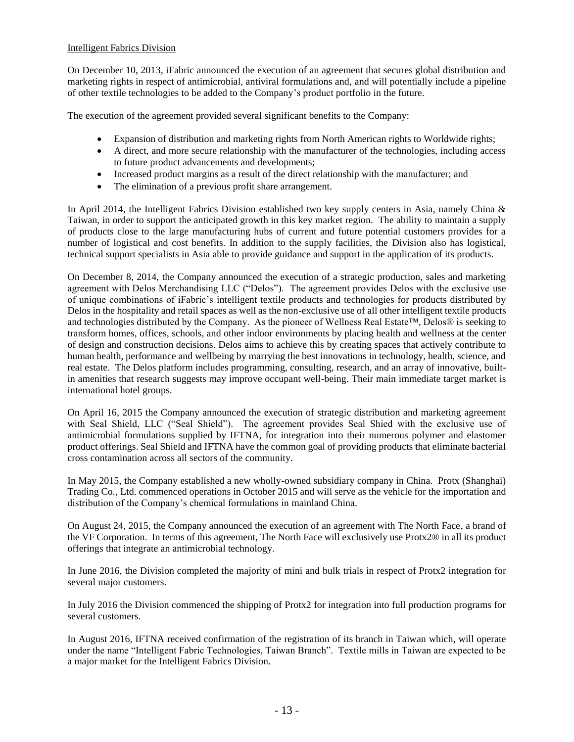#### Intelligent Fabrics Division

On December 10, 2013, iFabric announced the execution of an agreement that secures global distribution and marketing rights in respect of antimicrobial, antiviral formulations and, and will potentially include a pipeline of other textile technologies to be added to the Company's product portfolio in the future.

The execution of the agreement provided several significant benefits to the Company:

- Expansion of distribution and marketing rights from North American rights to Worldwide rights;
- A direct, and more secure relationship with the manufacturer of the technologies, including access to future product advancements and developments;
- Increased product margins as a result of the direct relationship with the manufacturer; and
- The elimination of a previous profit share arrangement.

In April 2014, the Intelligent Fabrics Division established two key supply centers in Asia, namely China & Taiwan, in order to support the anticipated growth in this key market region. The ability to maintain a supply of products close to the large manufacturing hubs of current and future potential customers provides for a number of logistical and cost benefits. In addition to the supply facilities, the Division also has logistical, technical support specialists in Asia able to provide guidance and support in the application of its products.

On December 8, 2014, the Company announced the execution of a strategic production, sales and marketing agreement with Delos Merchandising LLC ("Delos"). The agreement provides Delos with the exclusive use of unique combinations of iFabric's intelligent textile products and technologies for products distributed by Delos in the hospitality and retail spaces as well as the non-exclusive use of all other intelligent textile products and technologies distributed by the Company. As the pioneer of Wellness Real Estate™, Delos® is seeking to transform homes, offices, schools, and other indoor environments by placing health and wellness at the center of design and construction decisions. Delos aims to achieve this by creating spaces that actively contribute to human health, performance and wellbeing by marrying the best innovations in technology, health, science, and real estate. The Delos platform includes programming, consulting, research, and an array of innovative, builtin amenities that research suggests may improve occupant well-being. Their main immediate target market is international hotel groups.

On April 16, 2015 the Company announced the execution of strategic distribution and marketing agreement with Seal Shield, LLC ("Seal Shield"). The agreement provides Seal Shied with the exclusive use of antimicrobial formulations supplied by IFTNA, for integration into their numerous polymer and elastomer product offerings. Seal Shield and IFTNA have the common goal of providing products that eliminate bacterial cross contamination across all sectors of the community.

In May 2015, the Company established a new wholly-owned subsidiary company in China. Protx (Shanghai) Trading Co., Ltd. commenced operations in October 2015 and will serve as the vehicle for the importation and distribution of the Company's chemical formulations in mainland China.

On August 24, 2015, the Company announced the execution of an agreement with The North Face, a brand of the VF Corporation. In terms of this agreement, The North Face will exclusively use Protx2® in all its product offerings that integrate an antimicrobial technology.

In June 2016, the Division completed the majority of mini and bulk trials in respect of Protx2 integration for several major customers.

In July 2016 the Division commenced the shipping of Protx2 for integration into full production programs for several customers.

In August 2016, IFTNA received confirmation of the registration of its branch in Taiwan which, will operate under the name "Intelligent Fabric Technologies, Taiwan Branch". Textile mills in Taiwan are expected to be a major market for the Intelligent Fabrics Division.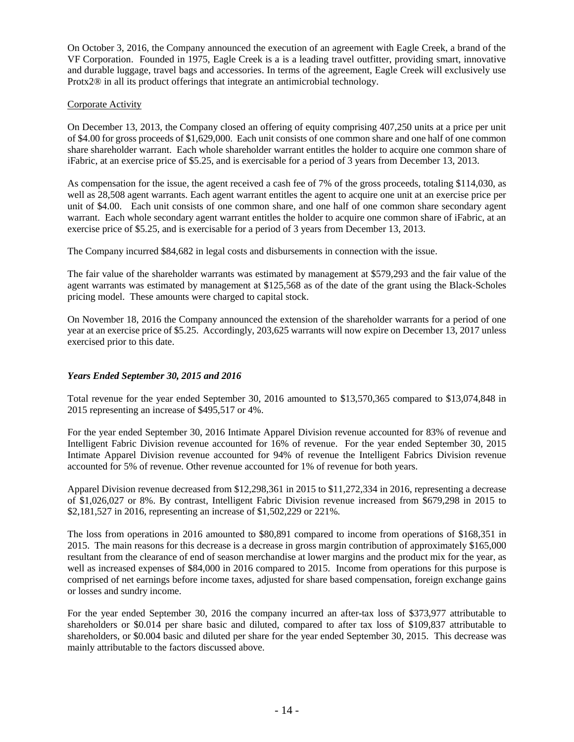On October 3, 2016, the Company announced the execution of an agreement with Eagle Creek, a brand of the VF Corporation. Founded in 1975, Eagle Creek is a is a leading travel outfitter, providing smart, innovative and durable luggage, [travel bags and accessories.](http://shop.eaglecreek.com/travel-gear-luggage-packs.html) In terms of the agreement, Eagle Creek will exclusively use Protx2® in all its product offerings that integrate an antimicrobial technology.

#### Corporate Activity

On December 13, 2013, the Company closed an offering of equity comprising 407,250 units at a price per unit of \$4.00 for gross proceeds of \$1,629,000. Each unit consists of one common share and one half of one common share shareholder warrant. Each whole shareholder warrant entitles the holder to acquire one common share of iFabric, at an exercise price of \$5.25, and is exercisable for a period of 3 years from December 13, 2013.

As compensation for the issue, the agent received a cash fee of 7% of the gross proceeds, totaling \$114,030, as well as 28,508 agent warrants. Each agent warrant entitles the agent to acquire one unit at an exercise price per unit of \$4.00. Each unit consists of one common share, and one half of one common share secondary agent warrant. Each whole secondary agent warrant entitles the holder to acquire one common share of iFabric, at an exercise price of \$5.25, and is exercisable for a period of 3 years from December 13, 2013.

The Company incurred \$84,682 in legal costs and disbursements in connection with the issue.

The fair value of the shareholder warrants was estimated by management at \$579,293 and the fair value of the agent warrants was estimated by management at \$125,568 as of the date of the grant using the Black-Scholes pricing model. These amounts were charged to capital stock.

On November 18, 2016 the Company announced the extension of the shareholder warrants for a period of one year at an exercise price of \$5.25. Accordingly, 203,625 warrants will now expire on December 13, 2017 unless exercised prior to this date.

#### *Years Ended September 30, 2015 and 2016*

Total revenue for the year ended September 30, 2016 amounted to \$13,570,365 compared to \$13,074,848 in 2015 representing an increase of \$495,517 or 4%.

For the year ended September 30, 2016 Intimate Apparel Division revenue accounted for 83% of revenue and Intelligent Fabric Division revenue accounted for 16% of revenue. For the year ended September 30, 2015 Intimate Apparel Division revenue accounted for 94% of revenue the Intelligent Fabrics Division revenue accounted for 5% of revenue. Other revenue accounted for 1% of revenue for both years.

Apparel Division revenue decreased from \$12,298,361 in 2015 to \$11,272,334 in 2016, representing a decrease of \$1,026,027 or 8%. By contrast, Intelligent Fabric Division revenue increased from \$679,298 in 2015 to \$2,181,527 in 2016, representing an increase of \$1,502,229 or 221%.

The loss from operations in 2016 amounted to \$80,891 compared to income from operations of \$168,351 in 2015. The main reasons for this decrease is a decrease in gross margin contribution of approximately \$165,000 resultant from the clearance of end of season merchandise at lower margins and the product mix for the year, as well as increased expenses of \$84,000 in 2016 compared to 2015. Income from operations for this purpose is comprised of net earnings before income taxes, adjusted for share based compensation, foreign exchange gains or losses and sundry income.

For the year ended September 30, 2016 the company incurred an after-tax loss of \$373,977 attributable to shareholders or \$0.014 per share basic and diluted, compared to after tax loss of \$109,837 attributable to shareholders, or \$0.004 basic and diluted per share for the year ended September 30, 2015. This decrease was mainly attributable to the factors discussed above.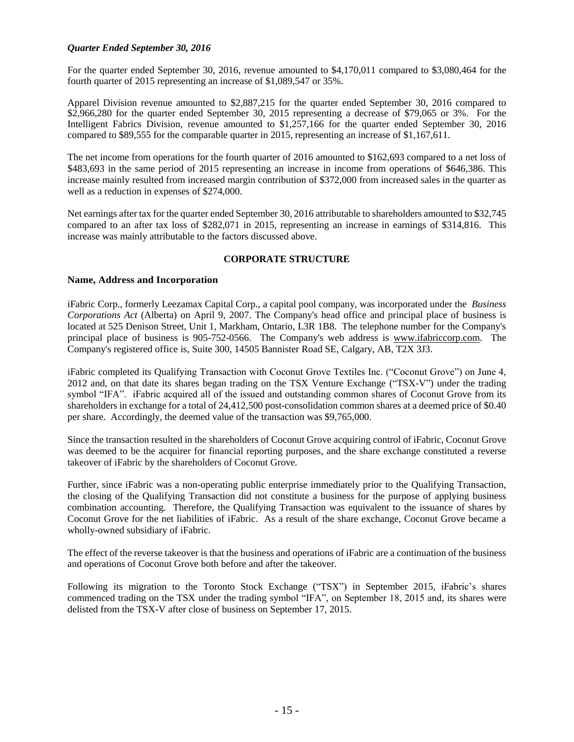#### *Quarter Ended September 30, 2016*

For the quarter ended September 30, 2016, revenue amounted to \$4,170,011 compared to \$3,080,464 for the fourth quarter of 2015 representing an increase of \$1,089,547 or 35%.

Apparel Division revenue amounted to \$2,887,215 for the quarter ended September 30, 2016 compared to \$2,966,280 for the quarter ended September 30, 2015 representing a decrease of \$79,065 or 3%. For the Intelligent Fabrics Division, revenue amounted to \$1,257,166 for the quarter ended September 30, 2016 compared to \$89,555 for the comparable quarter in 2015, representing an increase of \$1,167,611.

The net income from operations for the fourth quarter of 2016 amounted to \$162,693 compared to a net loss of \$483,693 in the same period of 2015 representing an increase in income from operations of \$646,386. This increase mainly resulted from increased margin contribution of \$372,000 from increased sales in the quarter as well as a reduction in expenses of \$274,000.

Net earnings after tax for the quarter ended September 30, 2016 attributable to shareholders amounted to \$32,745 compared to an after tax loss of \$282,071 in 2015, representing an increase in earnings of \$314,816. This increase was mainly attributable to the factors discussed above.

#### **CORPORATE STRUCTURE**

#### <span id="page-16-1"></span><span id="page-16-0"></span>**Name, Address and Incorporation**

iFabric Corp., formerly Leezamax Capital Corp., a capital pool company, was incorporated under the *Business Corporations Act* (Alberta) on April 9, 2007. The Company's head office and principal place of business is located at 525 Denison Street, Unit 1, Markham, Ontario, L3R 1B8. The telephone number for the Company's principal place of business is 905-752-0566. The Company's web address is [www.ifabriccorp.com.](http://www.ifabriccorp.com/) The Company's registered office is, Suite 300, 14505 Bannister Road SE, Calgary, AB, T2X 3J3.

iFabric completed its Qualifying Transaction with Coconut Grove Textiles Inc. ("Coconut Grove") on June 4, 2012 and, on that date its shares began trading on the TSX Venture Exchange ("TSX-V") under the trading symbol "IFA". iFabric acquired all of the issued and outstanding common shares of Coconut Grove from its shareholders in exchange for a total of 24,412,500 post-consolidation common shares at a deemed price of \$0.40 per share. Accordingly, the deemed value of the transaction was \$9,765,000.

Since the transaction resulted in the shareholders of Coconut Grove acquiring control of iFabric, Coconut Grove was deemed to be the acquirer for financial reporting purposes, and the share exchange constituted a reverse takeover of iFabric by the shareholders of Coconut Grove.

Further, since iFabric was a non-operating public enterprise immediately prior to the Qualifying Transaction, the closing of the Qualifying Transaction did not constitute a business for the purpose of applying business combination accounting. Therefore, the Qualifying Transaction was equivalent to the issuance of shares by Coconut Grove for the net liabilities of iFabric. As a result of the share exchange, Coconut Grove became a wholly-owned subsidiary of iFabric.

The effect of the reverse takeover is that the business and operations of iFabric are a continuation of the business and operations of Coconut Grove both before and after the takeover.

<span id="page-16-2"></span>Following its migration to the Toronto Stock Exchange ("TSX") in September 2015, iFabric's shares commenced trading on the TSX under the trading symbol "IFA", on September 18, 2015 and, its shares were delisted from the TSX-V after close of business on September 17, 2015.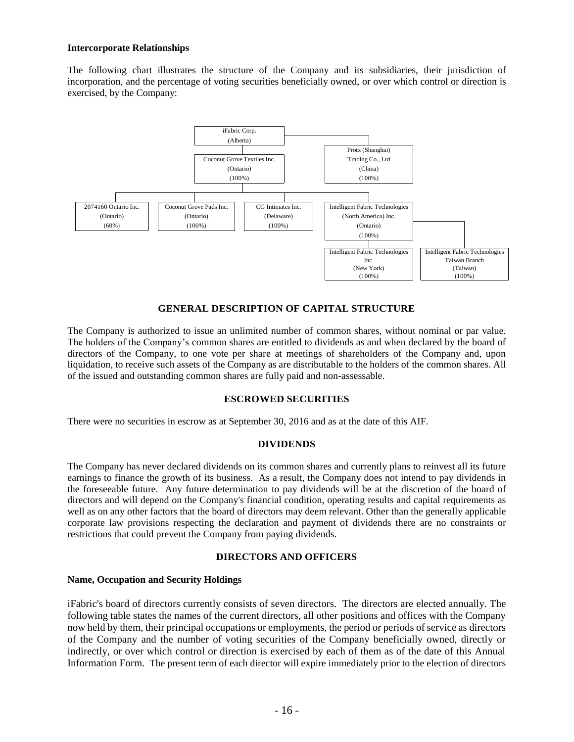#### **Intercorporate Relationships**

The following chart illustrates the structure of the Company and its subsidiaries, their jurisdiction of incorporation, and the percentage of voting securities beneficially owned, or over which control or direction is exercised, by the Company:



### **GENERAL DESCRIPTION OF CAPITAL STRUCTURE**

<span id="page-17-0"></span>The Company is authorized to issue an unlimited number of common shares, without nominal or par value. The holders of the Company's common shares are entitled to dividends as and when declared by the board of directors of the Company, to one vote per share at meetings of shareholders of the Company and, upon liquidation, to receive such assets of the Company as are distributable to the holders of the common shares. All of the issued and outstanding common shares are fully paid and non-assessable.

#### **ESCROWED SECURITIES**

<span id="page-17-2"></span><span id="page-17-1"></span>There were no securities in escrow as at September 30, 2016 and as at the date of this AIF.

#### **DIVIDENDS**

The Company has never declared dividends on its common shares and currently plans to reinvest all its future earnings to finance the growth of its business. As a result, the Company does not intend to pay dividends in the foreseeable future. Any future determination to pay dividends will be at the discretion of the board of directors and will depend on the Company's financial condition, operating results and capital requirements as well as on any other factors that the board of directors may deem relevant. Other than the generally applicable corporate law provisions respecting the declaration and payment of dividends there are no constraints or restrictions that could prevent the Company from paying dividends.

#### **DIRECTORS AND OFFICERS**

#### <span id="page-17-4"></span><span id="page-17-3"></span>**Name, Occupation and Security Holdings**

iFabric's board of directors currently consists of seven directors. The directors are elected annually. The following table states the names of the current directors, all other positions and offices with the Company now held by them, their principal occupations or employments, the period or periods of service as directors of the Company and the number of voting securities of the Company beneficially owned, directly or indirectly, or over which control or direction is exercised by each of them as of the date of this Annual Information Form. The present term of each director will expire immediately prior to the election of directors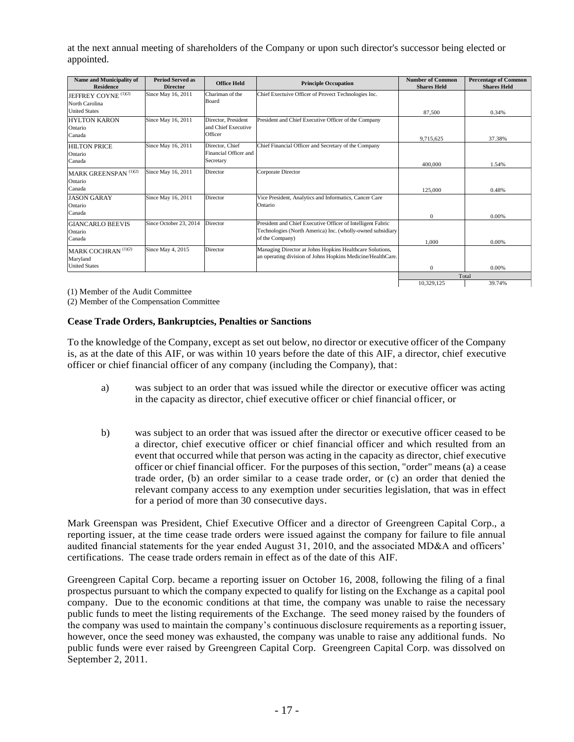at the next annual meeting of shareholders of the Company or upon such director's successor being elected or appointed.

| Name and Municipality of<br><b>Residence</b>            | <b>Period Served as</b><br><b>Director</b> | <b>Office Held</b>                                    | <b>Principle Occupation</b>                                                                                                                  | <b>Number of Common</b><br><b>Shares Held</b> | <b>Percentage of Common</b><br><b>Shares Held</b> |
|---------------------------------------------------------|--------------------------------------------|-------------------------------------------------------|----------------------------------------------------------------------------------------------------------------------------------------------|-----------------------------------------------|---------------------------------------------------|
| JEFFREY COYNE <sup>(1)(2)</sup><br>North Carolina       | Since May 16, 2011                         | Chariman of the<br><b>Board</b>                       | Chief Exectuive Officer of Provect Technologies Inc.                                                                                         |                                               |                                                   |
| <b>United States</b>                                    |                                            |                                                       |                                                                                                                                              | 87,500                                        | 0.34%                                             |
| <b>HYLTON KARON</b><br>Ontario<br>Canada                | Since May 16, 2011                         | Director, President<br>and Chief Executive<br>Officer | President and Chief Executive Officer of the Company                                                                                         | 9,715,625                                     | 37.38%                                            |
| <b>HILTON PRICE</b><br>Ontario<br>Canada                | Since May 16, 2011                         | Director, Chief<br>Financial Officer and<br>Secretary | Chief Financial Officer and Secretary of the Company                                                                                         |                                               |                                                   |
| MARK GREENSPAN <sup>(1)(2)</sup><br>Ontario<br>Canada   | Since May 16, 2011                         | Director                                              | Corporate Director                                                                                                                           | 400,000<br>125,000                            | 1.54%<br>0.48%                                    |
| <b>JASON GARAY</b><br>Ontario<br>Canada                 | Since May 16, 2011                         | Director                                              | Vice President, Analytics and Informatics, Cancer Care<br>Ontario                                                                            | $\Omega$                                      | 0.00%                                             |
| <b>GIANCARLO BEEVIS</b><br>Ontario<br>Canada            | Since October 23, 2014                     | Director                                              | President and Chief Executive Officer of Intelligent Fabric<br>Technologies (North America) Inc. (wholly-owned subsidiary<br>of the Company) | 1.000                                         | 0.00%                                             |
| MARK COCHRAN (1)(2)<br>Maryland<br><b>United States</b> | Since May 4, 2015                          | Director                                              | Managing Director at Johns Hopkins Healthcare Solutions,<br>an operating division of Johns Hopkins Medicine/HealthCare.                      | $\mathbf{0}$                                  | 0.00%                                             |
|                                                         |                                            |                                                       |                                                                                                                                              |                                               | Total                                             |
|                                                         |                                            |                                                       |                                                                                                                                              | 10.329.125                                    | 39.74%                                            |

(1) Member of the Audit Committee

<span id="page-18-0"></span>(2) Member of the Compensation Committee

#### **Cease Trade Orders, Bankruptcies, Penalties or Sanctions**

To the knowledge of the Company, except as set out below, no director or executive officer of the Company is, as at the date of this AIF, or was within 10 years before the date of this AIF, a director, chief executive officer or chief financial officer of any company (including the Company), that:

- a) was subject to an order that was issued while the director or executive officer was acting in the capacity as director, chief executive officer or chief financial officer, or
- b) was subject to an order that was issued after the director or executive officer ceased to be a director, chief executive officer or chief financial officer and which resulted from an event that occurred while that person was acting in the capacity as director, chief executive officer or chief financial officer. For the purposes of this section, "order" means (a) a cease trade order, (b) an order similar to a cease trade order, or (c) an order that denied the relevant company access to any exemption under securities legislation, that was in effect for a period of more than 30 consecutive days.

Mark Greenspan was President, Chief Executive Officer and a director of Greengreen Capital Corp., a reporting issuer, at the time cease trade orders were issued against the company for failure to file annual audited financial statements for the year ended August 31, 2010, and the associated MD&A and officers' certifications. The cease trade orders remain in effect as of the date of this AIF.

Greengreen Capital Corp. became a reporting issuer on October 16, 2008, following the filing of a final prospectus pursuant to which the company expected to qualify for listing on the Exchange as a capital pool company. Due to the economic conditions at that time, the company was unable to raise the necessary public funds to meet the listing requirements of the Exchange. The seed money raised by the founders of the company was used to maintain the company's continuous disclosure requirements as a reporting issuer, however, once the seed money was exhausted, the company was unable to raise any additional funds. No public funds were ever raised by Greengreen Capital Corp. Greengreen Capital Corp. was dissolved on September 2, 2011.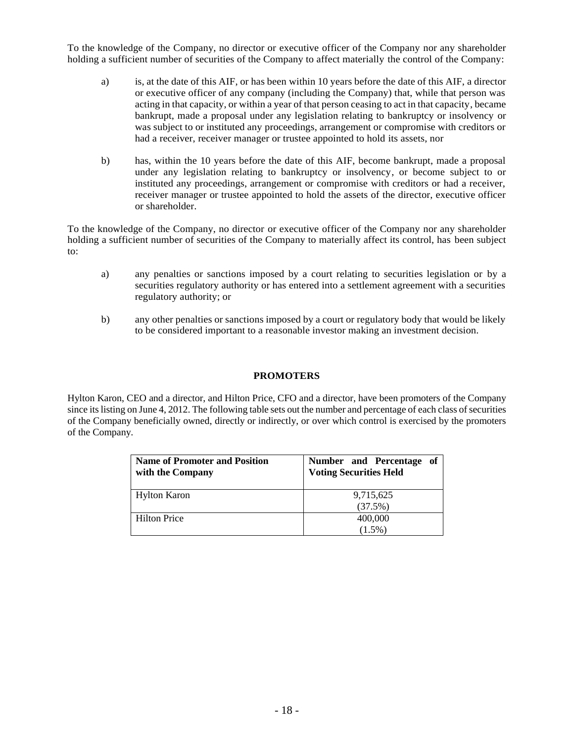To the knowledge of the Company, no director or executive officer of the Company nor any shareholder holding a sufficient number of securities of the Company to affect materially the control of the Company:

- a) is, at the date of this AIF, or has been within 10 years before the date of this AIF, a director or executive officer of any company (including the Company) that, while that person was acting in that capacity, or within a year of that person ceasing to act in that capacity, became bankrupt, made a proposal under any legislation relating to bankruptcy or insolvency or was subject to or instituted any proceedings, arrangement or compromise with creditors or had a receiver, receiver manager or trustee appointed to hold its assets, nor
- b) has, within the 10 years before the date of this AIF, become bankrupt, made a proposal under any legislation relating to bankruptcy or insolvency, or become subject to or instituted any proceedings, arrangement or compromise with creditors or had a receiver, receiver manager or trustee appointed to hold the assets of the director, executive officer or shareholder.

To the knowledge of the Company, no director or executive officer of the Company nor any shareholder holding a sufficient number of securities of the Company to materially affect its control, has been subject to:

- a) any penalties or sanctions imposed by a court relating to securities legislation or by a securities regulatory authority or has entered into a settlement agreement with a securities regulatory authority; or
- <span id="page-19-0"></span>b) any other penalties or sanctions imposed by a court or regulatory body that would be likely to be considered important to a reasonable investor making an investment decision.

#### **PROMOTERS**

Hylton Karon, CEO and a director, and Hilton Price, CFO and a director, have been promoters of the Company since its listing on June 4, 2012. The following table sets out the number and percentage of each class of securities of the Company beneficially owned, directly or indirectly, or over which control is exercised by the promoters of the Company.

| <b>Name of Promoter and Position</b><br>with the Company | Number and Percentage of<br><b>Voting Securities Held</b> |
|----------------------------------------------------------|-----------------------------------------------------------|
| <b>Hylton Karon</b>                                      | 9,715,625                                                 |
|                                                          | (37.5%)                                                   |
| <b>Hilton Price</b>                                      | 400,000                                                   |
|                                                          | $(1.5\%)$                                                 |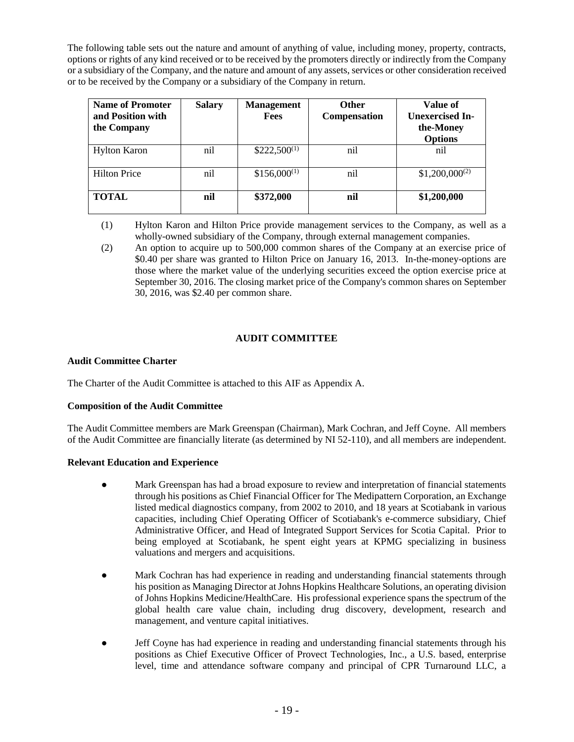The following table sets out the nature and amount of anything of value, including money, property, contracts, options or rights of any kind received or to be received by the promoters directly or indirectly from the Company or a subsidiary of the Company, and the nature and amount of any assets, services or other consideration received or to be received by the Company or a subsidiary of the Company in return.

| Name of Promoter<br>and Position with<br>the Company | <b>Salary</b> | <b>Management</b><br><b>Fees</b> | <b>Other</b><br>Compensation | Value of<br><b>Unexercised In-</b><br>the-Money<br><b>Options</b> |
|------------------------------------------------------|---------------|----------------------------------|------------------------------|-------------------------------------------------------------------|
| <b>Hylton Karon</b>                                  | nil           | $$222,500^{(1)}$                 | nil                          | nil                                                               |
| <b>Hilton Price</b>                                  | nil           | $$156,000^{(1)}$                 | nil                          | $$1,200,000^{(2)}$                                                |
| <b>TOTAL</b>                                         | nil           | \$372,000                        | nil                          | \$1,200,000                                                       |

- (1) Hylton Karon and Hilton Price provide management services to the Company, as well as a wholly-owned subsidiary of the Company, through external management companies.
- (2) An option to acquire up to 500,000 common shares of the Company at an exercise price of \$0.40 per share was granted to Hilton Price on January 16, 2013. In-the-money-options are those where the market value of the underlying securities exceed the option exercise price at September 30, 2016. The closing market price of the Company's common shares on September 30, 2016, was \$2.40 per common share.

## **AUDIT COMMITTEE**

#### <span id="page-20-1"></span><span id="page-20-0"></span>**Audit Committee Charter**

The Charter of the Audit Committee is attached to this AIF as Appendix A.

#### <span id="page-20-2"></span>**Composition of the Audit Committee**

The Audit Committee members are Mark Greenspan (Chairman), Mark Cochran, and Jeff Coyne. All members of the Audit Committee are financially literate (as determined by NI 52-110), and all members are independent.

#### <span id="page-20-3"></span>**Relevant Education and Experience**

- Mark Greenspan has had a broad exposure to review and interpretation of financial statements through his positions as Chief Financial Officer for The Medipattern Corporation, an Exchange listed medical diagnostics company, from 2002 to 2010, and 18 years at Scotiabank in various capacities, including Chief Operating Officer of Scotiabank's e-commerce subsidiary, Chief Administrative Officer, and Head of Integrated Support Services for Scotia Capital. Prior to being employed at Scotiabank, he spent eight years at KPMG specializing in business valuations and mergers and acquisitions.
- Mark Cochran has had experience in reading and understanding financial statements through his position as Managing Director at Johns Hopkins Healthcare Solutions, an operating division of Johns Hopkins Medicine/HealthCare. His professional experience spans the spectrum of the global health care value chain, including drug discovery, development, research and management, and venture capital initiatives.
- Jeff Coyne has had experience in reading and understanding financial statements through his positions as Chief Executive Officer of Provect Technologies, Inc., a U.S. based, enterprise level, time and attendance software company and principal of CPR Turnaround LLC, a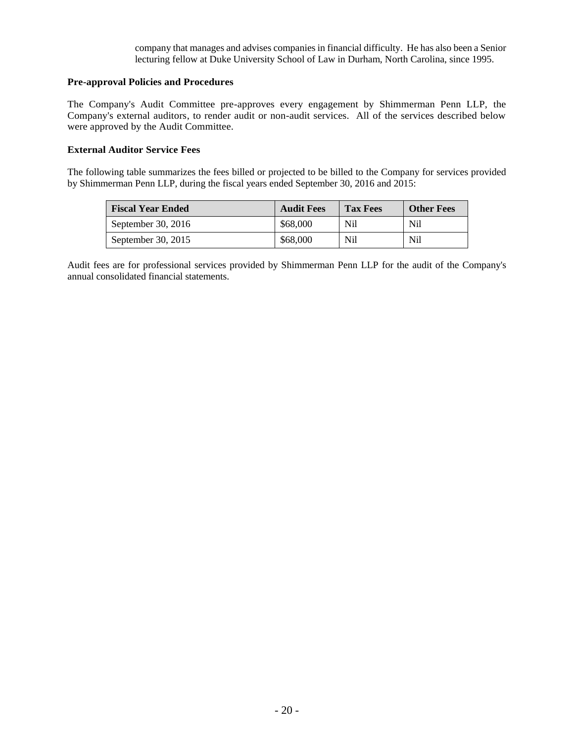company that manages and advises companies in financial difficulty. He has also been a Senior lecturing fellow at Duke University School of Law in Durham, North Carolina, since 1995.

#### <span id="page-21-0"></span>**Pre-approval Policies and Procedures**

The Company's Audit Committee pre-approves every engagement by Shimmerman Penn LLP, the Company's external auditors, to render audit or non-audit services. All of the services described below were approved by the Audit Committee.

#### <span id="page-21-1"></span>**External Auditor Service Fees**

The following table summarizes the fees billed or projected to be billed to the Company for services provided by Shimmerman Penn LLP, during the fiscal years ended September 30, 2016 and 2015:

| <b>Fiscal Year Ended</b> | <b>Audit Fees</b> | <b>Tax Fees</b> | <b>Other Fees</b> |
|--------------------------|-------------------|-----------------|-------------------|
| September 30, 2016       | \$68,000          | <b>Nil</b>      | N <sub>il</sub>   |
| September 30, 2015       | \$68,000          | Nil             | N <sub>il</sub>   |

Audit fees are for professional services provided by Shimmerman Penn LLP for the audit of the Company's annual consolidated financial statements.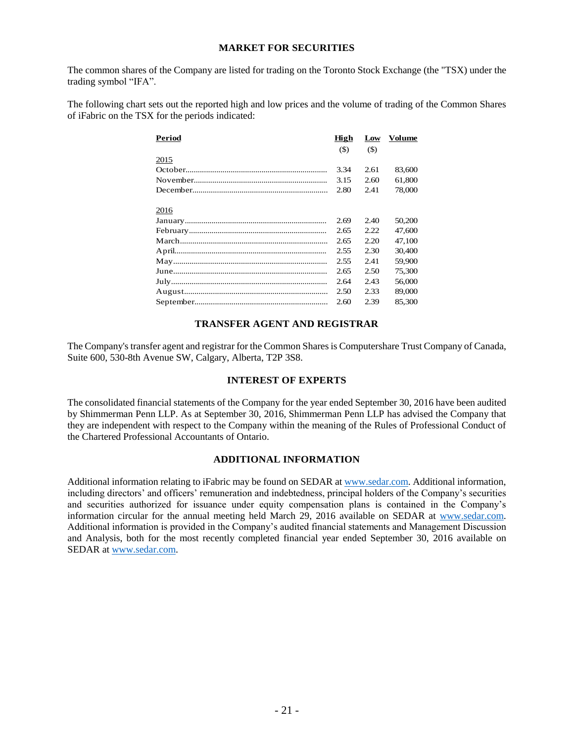#### **MARKET FOR SECURITIES**

<span id="page-22-0"></span>The common shares of the Company are listed for trading on the Toronto Stock Exchange (the "TSX) under the trading symbol "IFA".

The following chart sets out the reported high and low prices and the volume of trading of the Common Shares of iFabric on the TSX for the periods indicated:

| Period | High  | Low    | Volume |
|--------|-------|--------|--------|
|        | $($)$ | $(\$)$ |        |
| 2015   |       |        |        |
|        | 3.34  | 2.61   | 83,600 |
|        | 3.15  | 2.60   | 61,800 |
|        | 2.80  | 2.41   | 78,000 |
|        |       |        |        |
| 2016   |       |        |        |
|        | 2.69  | 2.40   | 50,200 |
|        | 2.65  | 2.22   | 47.600 |
|        | 2.65  | 2.20   | 47,100 |
|        | 2.55  | 2.30   | 30,400 |
|        | 2.55  | 2.41   | 59,900 |
|        | 2.65  | 2.50   | 75,300 |
|        | 2.64  | 2.43   | 56,000 |
|        | 2.50  | 2.33   | 89,000 |
|        | 2.60  | 2.39   | 85,300 |

#### **TRANSFER AGENT AND REGISTRAR**

<span id="page-22-1"></span>The Company's transfer agent and registrar for the Common Shares is Computershare Trust Company of Canada, Suite 600, 530-8th Avenue SW, Calgary, Alberta, T2P 3S8.

#### **INTEREST OF EXPERTS**

<span id="page-22-2"></span>The consolidated financial statements of the Company for the year ended September 30, 2016 have been audited by Shimmerman Penn LLP. As at September 30, 2016, Shimmerman Penn LLP has advised the Company that they are independent with respect to the Company within the meaning of the Rules of Professional Conduct of the Chartered Professional Accountants of Ontario.

#### **ADDITIONAL INFORMATION**

<span id="page-22-3"></span>Additional information relating to iFabric may be found on SEDAR a[t www.sedar.com.](http://www.sedar.com/) Additional information, including directors' and officers' remuneration and indebtedness, principal holders of the Company's securities and securities authorized for issuance under equity compensation plans is contained in the Company's information circular for the annual meeting held March 29, 2016 available on SEDAR at [www.sedar.com.](http://www.sedar.com/) Additional information is provided in the Company's audited financial statements and Management Discussion and Analysis, both for the most recently completed financial year ended September 30, 2016 available on SEDAR at [www.sedar.com.](http://www.sedar.com/)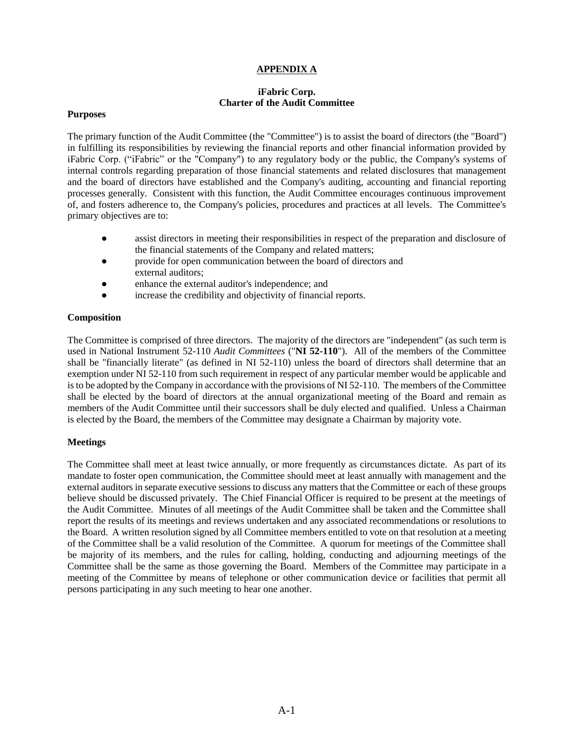#### **APPENDIX A**

#### **iFabric Corp. Charter of the Audit Committee**

#### <span id="page-23-0"></span>**Purposes**

The primary function of the Audit Committee (the "Committee") is to assist the board of directors (the "Board") in fulfilling its responsibilities by reviewing the financial reports and other financial information provided by iFabric Corp. ("iFabric" or the "Company") to any regulatory body or the public, the Company's systems of internal controls regarding preparation of those financial statements and related disclosures that management and the board of directors have established and the Company's auditing, accounting and financial reporting processes generally. Consistent with this function, the Audit Committee encourages continuous improvement of, and fosters adherence to, the Company's policies, procedures and practices at all levels. The Committee's primary objectives are to:

- assist directors in meeting their responsibilities in respect of the preparation and disclosure of the financial statements of the Company and related matters;
- provide for open communication between the board of directors and external auditors;
- enhance the external auditor's independence; and
- increase the credibility and objectivity of financial reports.

#### **Composition**

The Committee is comprised of three directors. The majority of the directors are "independent" (as such term is used in National Instrument 52-110 *Audit Committees* ("**NI 52-110**"). All of the members of the Committee shall be "financially literate" (as defined in NI 52-110) unless the board of directors shall determine that an exemption under NI 52-110 from such requirement in respect of any particular member would be applicable and is to be adopted by the Company in accordance with the provisions of NI 52-110. The members of the Committee shall be elected by the board of directors at the annual organizational meeting of the Board and remain as members of the Audit Committee until their successors shall be duly elected and qualified. Unless a Chairman is elected by the Board, the members of the Committee may designate a Chairman by majority vote.

#### **Meetings**

The Committee shall meet at least twice annually, or more frequently as circumstances dictate. As part of its mandate to foster open communication, the Committee should meet at least annually with management and the external auditors in separate executive sessions to discuss any matters that the Committee or each of these groups believe should be discussed privately. The Chief Financial Officer is required to be present at the meetings of the Audit Committee. Minutes of all meetings of the Audit Committee shall be taken and the Committee shall report the results of its meetings and reviews undertaken and any associated recommendations or resolutions to the Board. A written resolution signed by all Committee members entitled to vote on that resolution at a meeting of the Committee shall be a valid resolution of the Committee. A quorum for meetings of the Committee shall be majority of its members, and the rules for calling, holding, conducting and adjourning meetings of the Committee shall be the same as those governing the Board. Members of the Committee may participate in a meeting of the Committee by means of telephone or other communication device or facilities that permit all persons participating in any such meeting to hear one another.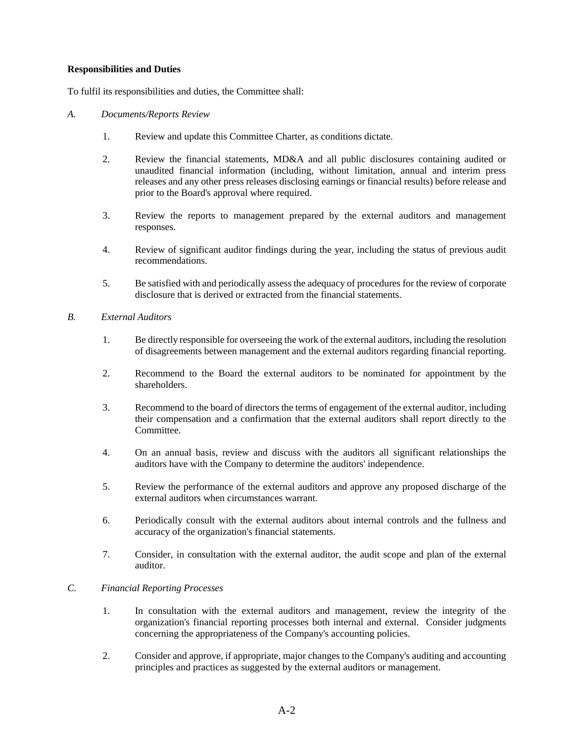#### **Responsibilities and Duties**

To fulfil its responsibilities and duties, the Committee shall:

- *A. Documents/Reports Review*
	- 1. Review and update this Committee Charter, as conditions dictate.
	- 2. Review the financial statements, MD&A and all public disclosures containing audited or unaudited financial information (including, without limitation, annual and interim press releases and any other press releases disclosing earnings or financial results) before release and prior to the Board's approval where required.
	- 3. Review the reports to management prepared by the external auditors and management responses.
	- 4. Review of significant auditor findings during the year, including the status of previous audit recommendations.
	- 5. Be satisfied with and periodically assess the adequacy of procedures for the review of corporate disclosure that is derived or extracted from the financial statements.
- *B. External Auditors*
	- 1. Be directly responsible for overseeing the work of the external auditors, including the resolution of disagreements between management and the external auditors regarding financial reporting.
	- 2. Recommend to the Board the external auditors to be nominated for appointment by the shareholders.
	- 3. Recommend to the board of directors the terms of engagement of the external auditor, including their compensation and a confirmation that the external auditors shall report directly to the Committee.
	- 4. On an annual basis, review and discuss with the auditors all significant relationships the auditors have with the Company to determine the auditors' independence.
	- 5. Review the performance of the external auditors and approve any proposed discharge of the external auditors when circumstances warrant.
	- 6. Periodically consult with the external auditors about internal controls and the fullness and accuracy of the organization's financial statements.
	- 7. Consider, in consultation with the external auditor, the audit scope and plan of the external auditor.

### *C. Financial Reporting Processes*

- 1. In consultation with the external auditors and management, review the integrity of the organization's financial reporting processes both internal and external. Consider judgments concerning the appropriateness of the Company's accounting policies.
- 2. Consider and approve, if appropriate, major changes to the Company's auditing and accounting principles and practices as suggested by the external auditors or management.